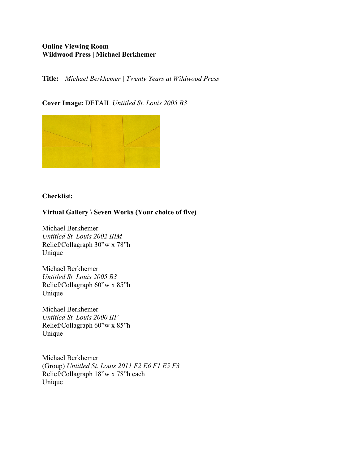# **Online Viewing Room Wildwood Press | Michael Berkhemer**

**Title:** *Michael Berkhemer | Twenty Years at Wildwood Press*

### **Cover Image:** DETAIL *Untitled St. Louis 2005 B3*



# **Checklist:**

### **Virtual Gallery \ Seven Works (Your choice of five)**

Michael Berkhemer *Untitled St. Louis 2002 IIIM* Relief/Collagraph 30"w x 78"h Unique

Michael Berkhemer *Untitled St. Louis 2005 B3* Relief/Collagraph 60"w x 85"h Unique

Michael Berkhemer *Untitled St. Louis 2000 IIF* Relief/Collagraph 60"w x 85"h Unique

Michael Berkhemer (Group) *Untitled St. Louis 2011 F2 E6 F1 E5 F3*  Relief/Collagraph 18"w x 78"h each Unique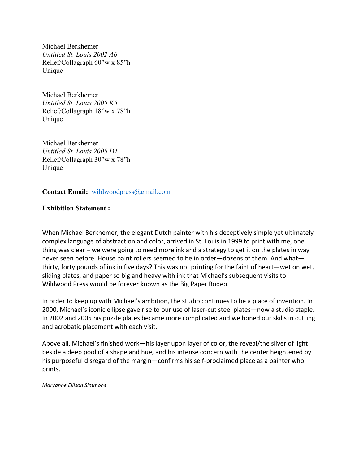Michael Berkhemer *Untitled St. Louis 2002 A6* Relief/Collagraph 60"w x 85"h Unique

Michael Berkhemer *Untitled St. Louis 2005 K5* Relief/Collagraph 18"w x 78"h Unique

Michael Berkhemer *Untitled St. Louis 2005 D1* Relief/Collagraph 30"w x 78"h Unique

**Contact Email:** wildwoodpress@gmail.com

# **Exhibition Statement :**

When Michael Berkhemer, the elegant Dutch painter with his deceptively simple yet ultimately complex language of abstraction and color, arrived in St. Louis in 1999 to print with me, one thing was clear – we were going to need more ink and a strategy to get it on the plates in way never seen before. House paint rollers seemed to be in order—dozens of them. And what thirty, forty pounds of ink in five days? This was not printing for the faint of heart—wet on wet, sliding plates, and paper so big and heavy with ink that Michael's subsequent visits to Wildwood Press would be forever known as the Big Paper Rodeo.

In order to keep up with Michael's ambition, the studio continues to be a place of invention. In 2000, Michael's iconic ellipse gave rise to our use of laser-cut steel plates—now a studio staple. In 2002 and 2005 his puzzle plates became more complicated and we honed our skills in cutting and acrobatic placement with each visit.

Above all, Michael's finished work—his layer upon layer of color, the reveal/the sliver of light beside a deep pool of a shape and hue, and his intense concern with the center heightened by his purposeful disregard of the margin—confirms his self-proclaimed place as a painter who prints.

*Maryanne Ellison Simmons*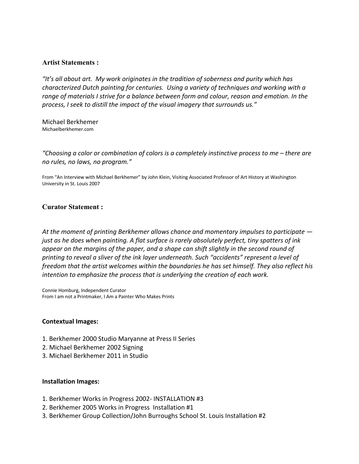#### **Artist Statements :**

*"It's all about art. My work originates in the tradition of soberness and purity which has characterized Dutch painting for centuries. Using a variety of techniques and working with a range of materials I strive for a balance between form and colour, reason and emotion. In the process, I seek to distill the impact of the visual imagery that surrounds us."*

Michael Berkhemer Michaelberkhemer.com

*"Choosing a color or combination of colors is a completely instinctive process to me – there are no rules, no laws, no program."*

From "An Interview with Michael Berkhemer" by John Klein, Visiting Associated Professor of Art History at Washington University in St. Louis 2007

#### **Curator Statement :**

*At the moment of printing Berkhemer allows chance and momentary impulses to participate just as he does when painting. A flat surface is rarely absolutely perfect, tiny spatters of ink appear on the margins of the paper, and a shape can shift slightly in the second round of printing to reveal a sliver of the ink layer underneath. Such "accidents" represent a level of freedom that the artist welcomes within the boundaries he has set himself. They also reflect his intention to emphasize the process that is underlying the creation of each work.* 

Connie Homburg, Independent Curator From I am not a Printmaker, I Am a Painter Who Makes Prints

#### **Contextual Images:**

- 1. Berkhemer 2000 Studio Maryanne at Press II Series
- 2. Michael Berkhemer 2002 Signing
- 3. Michael Berkhemer 2011 in Studio

#### **Installation Images:**

- 1. Berkhemer Works in Progress 2002- INSTALLATION #3
- 2. Berkhemer 2005 Works in Progress Installation #1
- 3. Berkhemer Group Collection/John Burroughs School St. Louis Installation #2